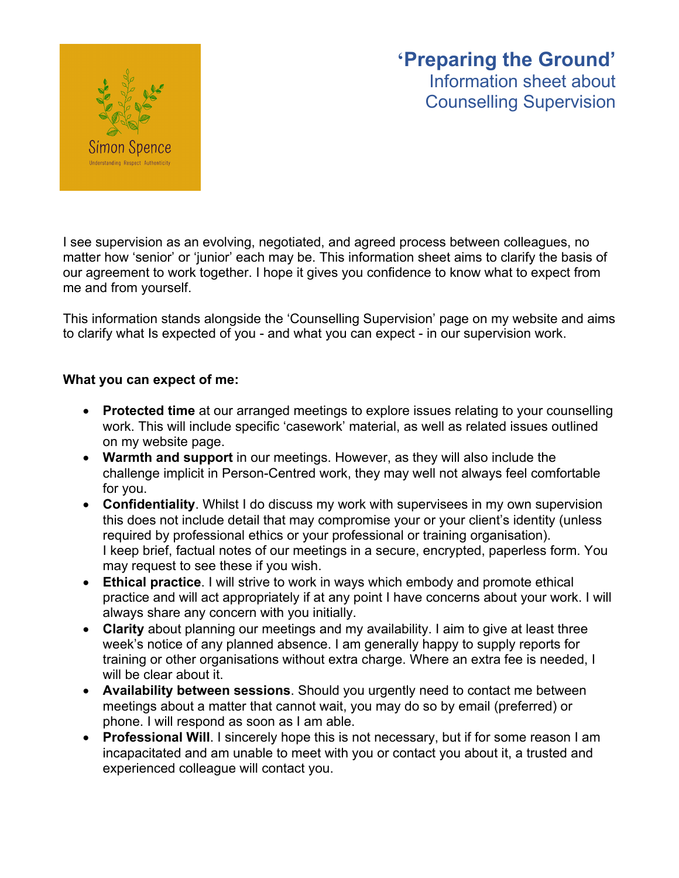# **'Preparing the Ground'** Information sheet about Counselling Supervision



I see supervision as an evolving, negotiated, and agreed process between colleagues, no matter how 'senior' or 'junior' each may be. This information sheet aims to clarify the basis of our agreement to work together. I hope it gives you confidence to know what to expect from me and from yourself.

This information stands alongside the 'Counselling Supervision' page on my website and aims to clarify what Is expected of you - and what you can expect - in our supervision work.

## **What you can expect of me:**

- **Protected time** at our arranged meetings to explore issues relating to your counselling work. This will include specific 'casework' material, as well as related issues outlined on my website page.
- **Warmth and support** in our meetings. However, as they will also include the challenge implicit in Person-Centred work, they may well not always feel comfortable for you.
- **Confidentiality**. Whilst I do discuss my work with supervisees in my own supervision this does not include detail that may compromise your or your client's identity (unless required by professional ethics or your professional or training organisation). I keep brief, factual notes of our meetings in a secure, encrypted, paperless form. You may request to see these if you wish.
- **Ethical practice**. I will strive to work in ways which embody and promote ethical practice and will act appropriately if at any point I have concerns about your work. I will always share any concern with you initially.
- **Clarity** about planning our meetings and my availability. I aim to give at least three week's notice of any planned absence. I am generally happy to supply reports for training or other organisations without extra charge. Where an extra fee is needed, I will be clear about it.
- **Availability between sessions**. Should you urgently need to contact me between meetings about a matter that cannot wait, you may do so by email (preferred) or phone. I will respond as soon as I am able.
- **Professional Will**. I sincerely hope this is not necessary, but if for some reason I am incapacitated and am unable to meet with you or contact you about it, a trusted and experienced colleague will contact you.